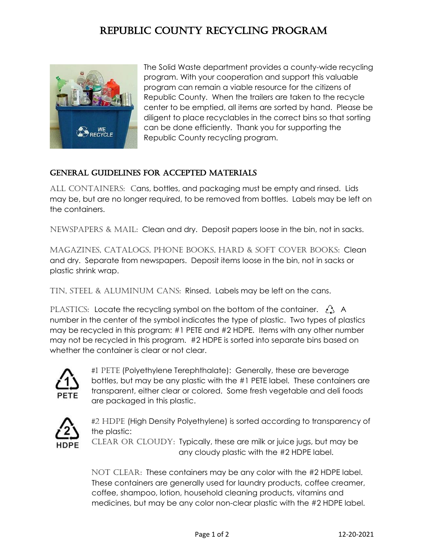## Republic County Recycling Program



The Solid Waste department provides a county-wide recycling program. With your cooperation and support this valuable program can remain a viable resource for the citizens of Republic County. When the trailers are taken to the recycle center to be emptied, all items are sorted by hand. Please be diligent to place recyclables in the correct bins so that sorting can be done efficiently. Thank you for supporting the Republic County recycling program.

## General Guidelines for Accepted Materials

All containers: Cans, bottles, and packaging must be empty and rinsed. Lids may be, but are no longer required, to be removed from bottles. Labels may be left on the containers.

Newspapers & MAIL: Clean and dry. Deposit papers loose in the bin, not in sacks.

Magazines, Catalogs, Phone Books, hard & soft cover books: Clean and dry. Separate from newspapers. Deposit items loose in the bin, not in sacks or plastic shrink wrap.

Tin, steel & aluminum Cans: Rinsed. Labels may be left on the cans.

PLASTICS: Locate the recycling symbol on the bottom of the container.  $\lambda$  A number in the center of the symbol indicates the type of plastic. Two types of plastics may be recycled in this program: #1 PETE and #2 HDPE. Items with any other number may not be recycled in this program. #2 HDPE is sorted into separate bins based on whether the container is clear or not clear.



#1 PETE (Polyethylene Terephthalate): Generally, these are beverage bottles, but may be any plastic with the #1 PETE label. These containers are transparent, either clear or colored. Some fresh vegetable and deli foods are packaged in this plastic.



#2 HDPE (High Density Polyethylene) is sorted according to transparency of the plastic:

CLEAR OR CLOUDY: Typically, these are milk or juice jugs, but may be any cloudy plastic with the #2 HDPE label.

NOT CLEAR: These containers may be any color with the #2 HDPE label. These containers are generally used for laundry products, coffee creamer, coffee, shampoo, lotion, household cleaning products, vitamins and medicines, but may be any color non-clear plastic with the #2 HDPE label.